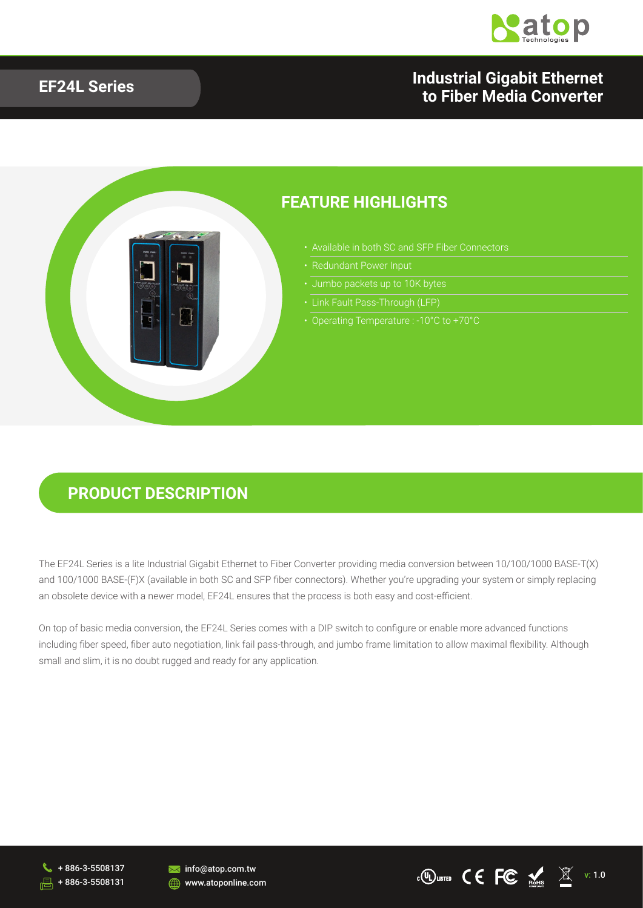

#### **EF24L Series Industrial Gigabit Ethernet to Fiber Media Converter**



#### **PRODUCT DESCRIPTION**

The EF24L Series is a lite Industrial Gigabit Ethernet to Fiber Converter providing media conversion between 10/100/1000 BASE-T(X) and 100/1000 BASE-(F)X (available in both SC and SFP fiber connectors). Whether you're upgrading your system or simply replacing an obsolete device with a newer model, EF24L ensures that the process is both easy and cost-efficient.

On top of basic media conversion, the EF24L Series comes with a DIP switch to configure or enable more advanced functions including fiber speed, fiber auto negotiation, link fail pass-through, and jumbo frame limitation to allow maximal flexibility. Although small and slim, it is no doubt rugged and ready for any application.





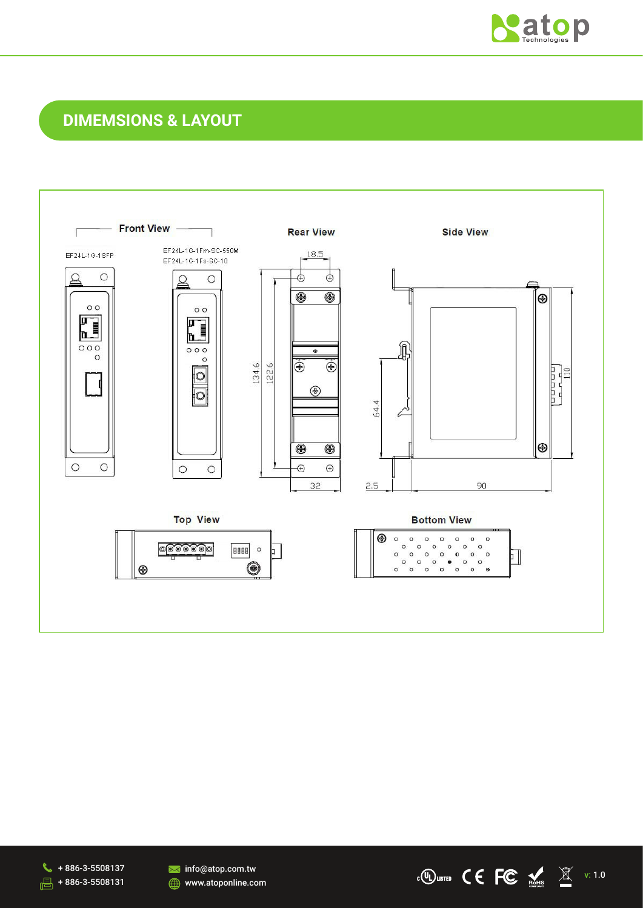

v: 1.0

## **DIMEMSIONS & LAYOUT**



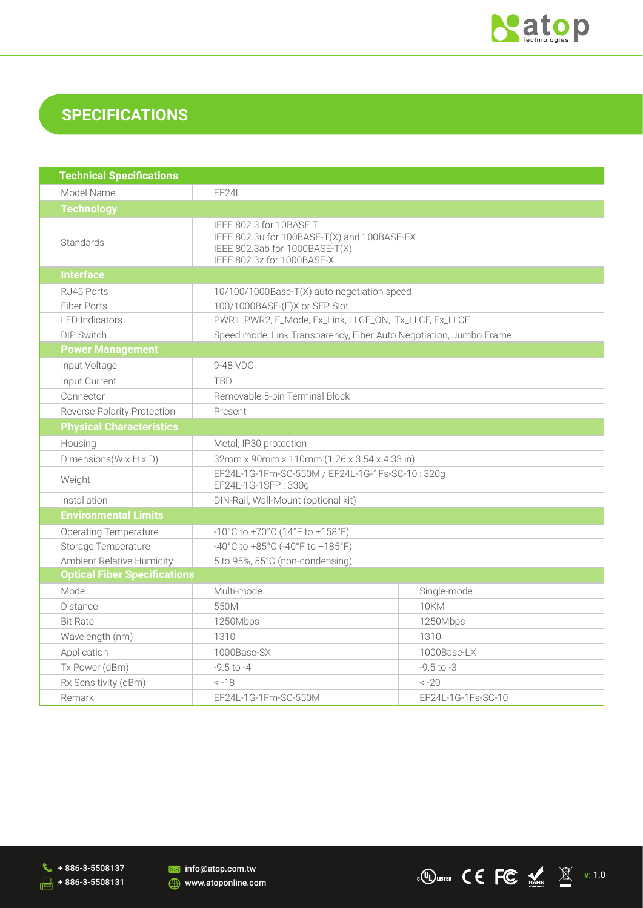

## **SPECIFICATIONS**

| <b>Technical Specifications</b>      |                                                                                                                                        |                    |  |  |
|--------------------------------------|----------------------------------------------------------------------------------------------------------------------------------------|--------------------|--|--|
| Model Name                           | EF24L                                                                                                                                  |                    |  |  |
| <b>Technology</b>                    |                                                                                                                                        |                    |  |  |
| Standards                            | IEEE 802.3 for 10BASE T<br>IEEE 802.3u for 100BASE-T(X) and 100BASE-FX<br>IEEE 802.3ab for 1000BASE-T(X)<br>IEEE 802.3z for 1000BASE-X |                    |  |  |
| <b>Interface</b>                     |                                                                                                                                        |                    |  |  |
| RJ45 Ports                           | 10/100/1000Base-T(X) auto negotiation speed                                                                                            |                    |  |  |
| <b>Fiber Ports</b>                   | 100/1000BASE-(F)X or SFP Slot                                                                                                          |                    |  |  |
| <b>LED</b> Indicators                | PWR1, PWR2, F_Mode, Fx_Link, LLCF_ON, Tx_LLCF, Fx_LLCF                                                                                 |                    |  |  |
| <b>DIP Switch</b>                    | Speed mode, Link Transparency, Fiber Auto Negotiation, Jumbo Frame                                                                     |                    |  |  |
| <b>Power Management</b>              |                                                                                                                                        |                    |  |  |
| Input Voltage                        | 9-48 VDC                                                                                                                               |                    |  |  |
| Input Current                        | <b>TBD</b>                                                                                                                             |                    |  |  |
| Connector                            | Removable 5-pin Terminal Block                                                                                                         |                    |  |  |
| <b>Reverse Polarity Protection</b>   | Present                                                                                                                                |                    |  |  |
| <b>Physical Characteristics</b>      |                                                                                                                                        |                    |  |  |
| Housing                              | Metal, IP30 protection                                                                                                                 |                    |  |  |
| Dimensions ( $W \times H \times D$ ) | 32mm x 90mm x 110mm (1.26 x 3.54 x 4.33 in)                                                                                            |                    |  |  |
| Weight                               | EF24L-1G-1Fm-SC-550M / EF24L-1G-1Fs-SC-10:320g<br>EF24L-1G-1SFP: 330g                                                                  |                    |  |  |
| Installation                         | DIN-Rail, Wall-Mount (optional kit)                                                                                                    |                    |  |  |
| <b>Environmental Limits</b>          |                                                                                                                                        |                    |  |  |
| <b>Operating Temperature</b>         | -10°C to +70°C (14°F to +158°F)                                                                                                        |                    |  |  |
| Storage Temperature                  | -40°C to +85°C (-40°F to +185°F)                                                                                                       |                    |  |  |
| Ambient Relative Humidity            | 5 to 95%, 55°C (non-condensing)                                                                                                        |                    |  |  |
| <b>Optical Fiber Specifications</b>  |                                                                                                                                        |                    |  |  |
| Mode                                 | Multi-mode                                                                                                                             | Single-mode        |  |  |
| <b>Distance</b>                      | 550M                                                                                                                                   | <b>10KM</b>        |  |  |
| <b>Bit Rate</b>                      | 1250Mbps                                                                                                                               | 1250Mbps           |  |  |
| Wavelength (nm)                      | 1310                                                                                                                                   | 1310               |  |  |
| Application                          | 1000Base-LX<br>1000Base-SX                                                                                                             |                    |  |  |
| Tx Power (dBm)                       | $-9.5$ to $-4$                                                                                                                         | $-9.5$ to $-3$     |  |  |
| Rx Sensitivity (dBm)                 | $-20$<br>$< -18$                                                                                                                       |                    |  |  |
| Remark                               | EF24L-1G-1Fm-SC-550M                                                                                                                   | EF24L-1G-1Fs-SC-10 |  |  |

 $\begin{array}{r} \bigcup \end{array}$  + 886-3-5508137  $\frac{1}{\sqrt{1-\frac{1}{2}}}$  + 886-3-5508131

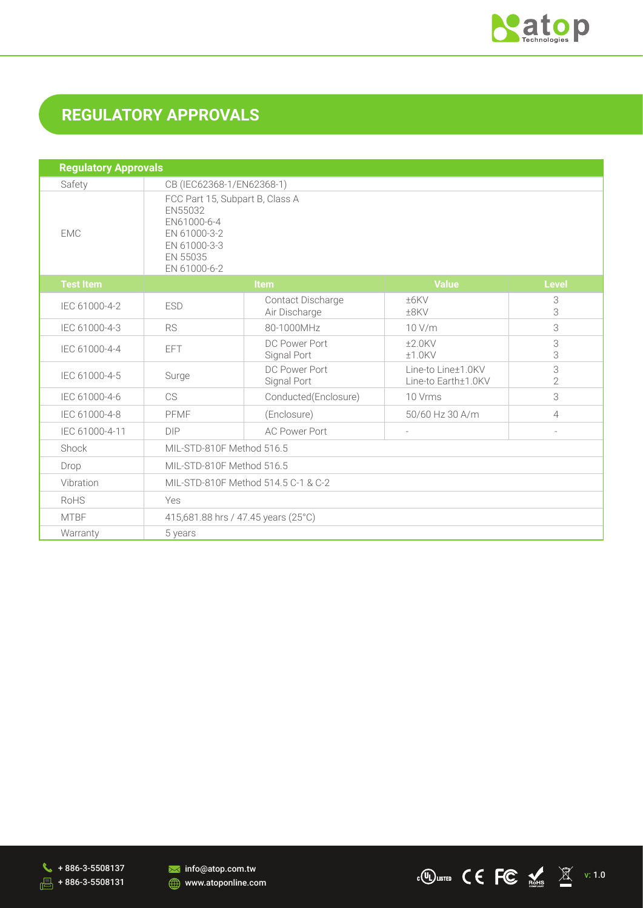

# **REGULATORY APPROVALS**

| <b>Regulatory Approvals</b> |                                                                                                                       |                                     |                                           |                     |  |
|-----------------------------|-----------------------------------------------------------------------------------------------------------------------|-------------------------------------|-------------------------------------------|---------------------|--|
| Safety                      | CB (IEC62368-1/EN62368-1)                                                                                             |                                     |                                           |                     |  |
| <b>EMC</b>                  | FCC Part 15, Subpart B, Class A<br>EN55032<br>EN61000-6-4<br>EN 61000-3-2<br>EN 61000-3-3<br>EN 55035<br>EN 61000-6-2 |                                     |                                           |                     |  |
| <b>Test Item</b>            | <b>Item</b>                                                                                                           |                                     | <b>Value</b>                              | <b>Level</b>        |  |
| IEC 61000-4-2               | <b>ESD</b>                                                                                                            | Contact Discharge<br>Air Discharge  | ±6KV<br>±8KV                              | 3<br>3              |  |
| IEC 61000-4-3               | <b>RS</b>                                                                                                             | 80-1000MHz                          | 10 V/m                                    | 3                   |  |
| IEC 61000-4-4               | EFT                                                                                                                   | DC Power Port<br>Signal Port        | $±2.0$ KV<br>$±1.0$ KV                    | 3<br>3              |  |
| IEC 61000-4-5               | Surge                                                                                                                 | DC Power Port<br>Signal Port        | Line-to Line±1.0KV<br>Line-to Earth±1.0KV | 3<br>$\overline{2}$ |  |
| IEC 61000-4-6               | <b>CS</b>                                                                                                             | Conducted(Enclosure)                | 10 Vrms                                   | 3                   |  |
| IEC 61000-4-8               | PFMF                                                                                                                  | (Enclosure)                         | 50/60 Hz 30 A/m                           | 4                   |  |
| IEC 61000-4-11              | <b>DIP</b>                                                                                                            | <b>AC Power Port</b>                | $\sim$                                    |                     |  |
| Shock                       | MIL-STD-810F Method 516.5                                                                                             |                                     |                                           |                     |  |
| Drop                        | MIL-STD-810F Method 516.5                                                                                             |                                     |                                           |                     |  |
| Vibration                   | MIL-STD-810F Method 514.5 C-1 & C-2                                                                                   |                                     |                                           |                     |  |
| RoHS                        | Yes                                                                                                                   |                                     |                                           |                     |  |
| <b>MTBF</b>                 |                                                                                                                       | 415,681.88 hrs / 47.45 years (25°C) |                                           |                     |  |
| Warranty                    | 5 years                                                                                                               |                                     |                                           |                     |  |